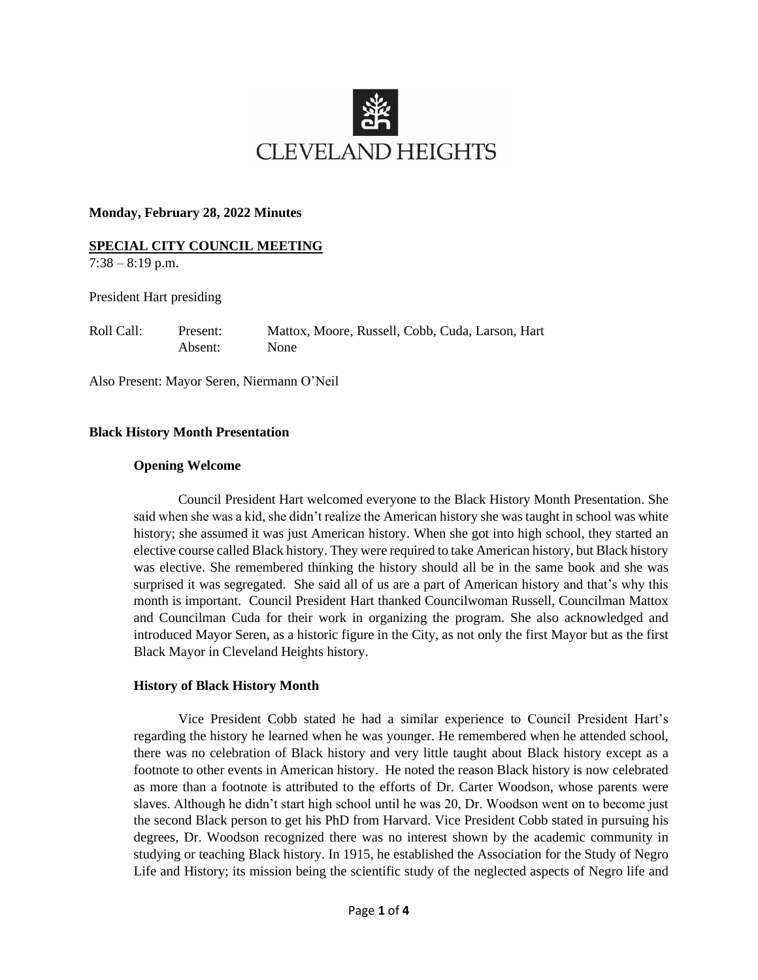

#### **Monday, February 28, 2022 Minutes**

## **SPECIAL CITY COUNCIL MEETING**

 $7:38 - 8:19$  p.m.

President Hart presiding

Roll Call: Present: Mattox, Moore, Russell, Cobb, Cuda, Larson, Hart Absent: None

Also Present: Mayor Seren, Niermann O'Neil

## **Black History Month Presentation**

#### **Opening Welcome**

Council President Hart welcomed everyone to the Black History Month Presentation. She said when she was a kid, she didn't realize the American history she was taught in school was white history; she assumed it was just American history. When she got into high school, they started an elective course called Black history. They were required to take American history, but Black history was elective. She remembered thinking the history should all be in the same book and she was surprised it was segregated. She said all of us are a part of American history and that's why this month is important. Council President Hart thanked Councilwoman Russell, Councilman Mattox and Councilman Cuda for their work in organizing the program. She also acknowledged and introduced Mayor Seren, as a historic figure in the City, as not only the first Mayor but as the first Black Mayor in Cleveland Heights history.

#### **History of Black History Month**

Vice President Cobb stated he had a similar experience to Council President Hart's regarding the history he learned when he was younger. He remembered when he attended school, there was no celebration of Black history and very little taught about Black history except as a footnote to other events in American history. He noted the reason Black history is now celebrated as more than a footnote is attributed to the efforts of Dr. Carter Woodson, whose parents were slaves. Although he didn't start high school until he was 20, Dr. Woodson went on to become just the second Black person to get his PhD from Harvard. Vice President Cobb stated in pursuing his degrees, Dr. Woodson recognized there was no interest shown by the academic community in studying or teaching Black history. In 1915, he established the Association for the Study of Negro Life and History; its mission being the scientific study of the neglected aspects of Negro life and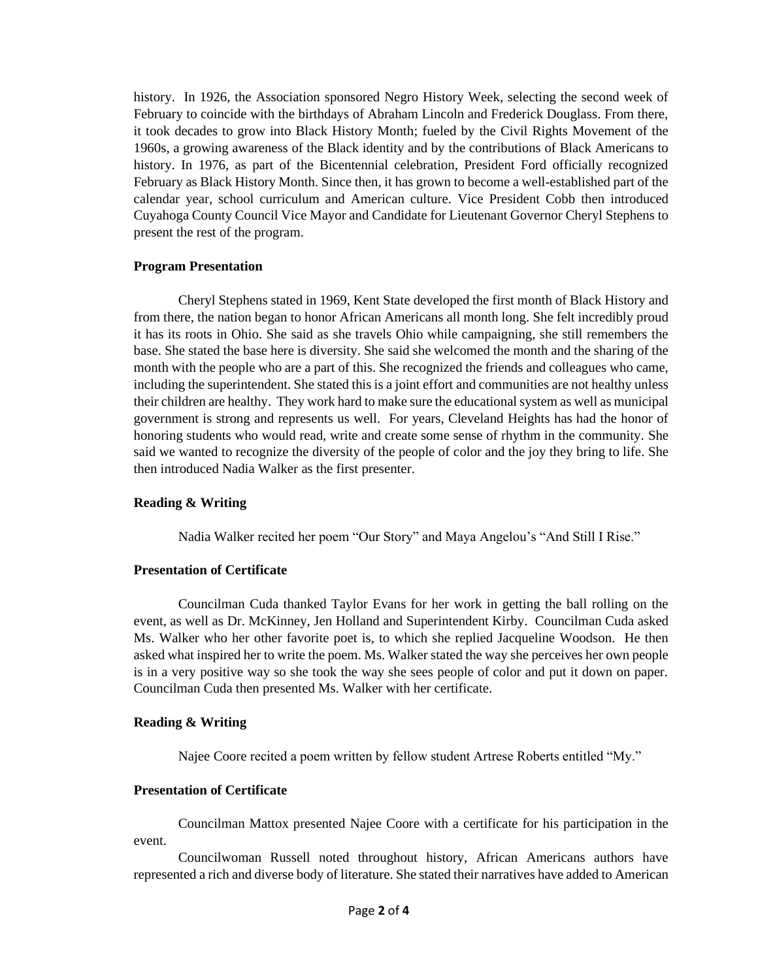history. In 1926, the Association sponsored Negro History Week, selecting the second week of February to coincide with the birthdays of Abraham Lincoln and Frederick Douglass. From there, it took decades to grow into Black History Month; fueled by the Civil Rights Movement of the 1960s, a growing awareness of the Black identity and by the contributions of Black Americans to history. In 1976, as part of the Bicentennial celebration, President Ford officially recognized February as Black History Month. Since then, it has grown to become a well-established part of the calendar year, school curriculum and American culture. Vice President Cobb then introduced Cuyahoga County Council Vice Mayor and Candidate for Lieutenant Governor Cheryl Stephens to present the rest of the program.

## **Program Presentation**

Cheryl Stephens stated in 1969, Kent State developed the first month of Black History and from there, the nation began to honor African Americans all month long. She felt incredibly proud it has its roots in Ohio. She said as she travels Ohio while campaigning, she still remembers the base. She stated the base here is diversity. She said she welcomed the month and the sharing of the month with the people who are a part of this. She recognized the friends and colleagues who came, including the superintendent. She stated this is a joint effort and communities are not healthy unless their children are healthy. They work hard to make sure the educational system as well as municipal government is strong and represents us well. For years, Cleveland Heights has had the honor of honoring students who would read, write and create some sense of rhythm in the community. She said we wanted to recognize the diversity of the people of color and the joy they bring to life. She then introduced Nadia Walker as the first presenter.

## **Reading & Writing**

Nadia Walker recited her poem "Our Story" and Maya Angelou's "And Still I Rise."

#### **Presentation of Certificate**

Councilman Cuda thanked Taylor Evans for her work in getting the ball rolling on the event, as well as Dr. McKinney, Jen Holland and Superintendent Kirby. Councilman Cuda asked Ms. Walker who her other favorite poet is, to which she replied Jacqueline Woodson. He then asked what inspired her to write the poem. Ms. Walker stated the way she perceives her own people is in a very positive way so she took the way she sees people of color and put it down on paper. Councilman Cuda then presented Ms. Walker with her certificate.

## **Reading & Writing**

Najee Coore recited a poem written by fellow student Artrese Roberts entitled "My."

## **Presentation of Certificate**

Councilman Mattox presented Najee Coore with a certificate for his participation in the event.

Councilwoman Russell noted throughout history, African Americans authors have represented a rich and diverse body of literature. She stated their narratives have added to American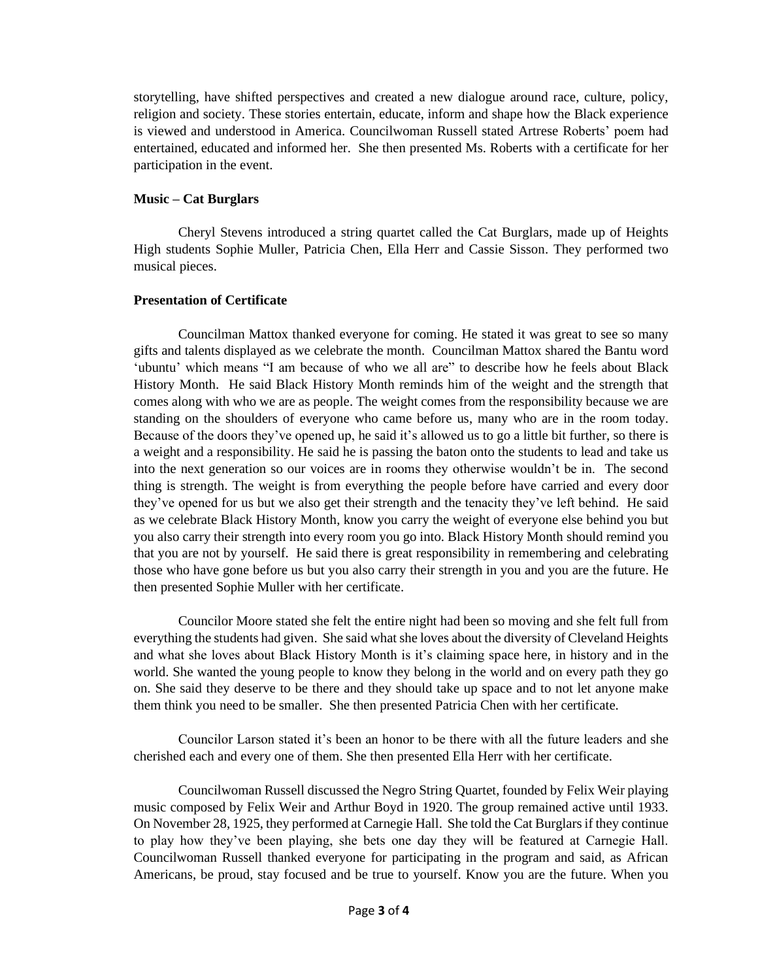storytelling, have shifted perspectives and created a new dialogue around race, culture, policy, religion and society. These stories entertain, educate, inform and shape how the Black experience is viewed and understood in America. Councilwoman Russell stated Artrese Roberts' poem had entertained, educated and informed her. She then presented Ms. Roberts with a certificate for her participation in the event.

## **Music – Cat Burglars**

Cheryl Stevens introduced a string quartet called the Cat Burglars, made up of Heights High students Sophie Muller, Patricia Chen, Ella Herr and Cassie Sisson. They performed two musical pieces.

## **Presentation of Certificate**

Councilman Mattox thanked everyone for coming. He stated it was great to see so many gifts and talents displayed as we celebrate the month. Councilman Mattox shared the Bantu word 'ubuntu' which means "I am because of who we all are" to describe how he feels about Black History Month. He said Black History Month reminds him of the weight and the strength that comes along with who we are as people. The weight comes from the responsibility because we are standing on the shoulders of everyone who came before us, many who are in the room today. Because of the doors they've opened up, he said it's allowed us to go a little bit further, so there is a weight and a responsibility. He said he is passing the baton onto the students to lead and take us into the next generation so our voices are in rooms they otherwise wouldn't be in. The second thing is strength. The weight is from everything the people before have carried and every door they've opened for us but we also get their strength and the tenacity they've left behind. He said as we celebrate Black History Month, know you carry the weight of everyone else behind you but you also carry their strength into every room you go into. Black History Month should remind you that you are not by yourself. He said there is great responsibility in remembering and celebrating those who have gone before us but you also carry their strength in you and you are the future. He then presented Sophie Muller with her certificate.

Councilor Moore stated she felt the entire night had been so moving and she felt full from everything the students had given. She said what she loves about the diversity of Cleveland Heights and what she loves about Black History Month is it's claiming space here, in history and in the world. She wanted the young people to know they belong in the world and on every path they go on. She said they deserve to be there and they should take up space and to not let anyone make them think you need to be smaller. She then presented Patricia Chen with her certificate.

Councilor Larson stated it's been an honor to be there with all the future leaders and she cherished each and every one of them. She then presented Ella Herr with her certificate.

Councilwoman Russell discussed the Negro String Quartet, founded by Felix Weir playing music composed by Felix Weir and Arthur Boyd in 1920. The group remained active until 1933. On November 28, 1925, they performed at Carnegie Hall. She told the Cat Burglarsif they continue to play how they've been playing, she bets one day they will be featured at Carnegie Hall. Councilwoman Russell thanked everyone for participating in the program and said, as African Americans, be proud, stay focused and be true to yourself. Know you are the future. When you